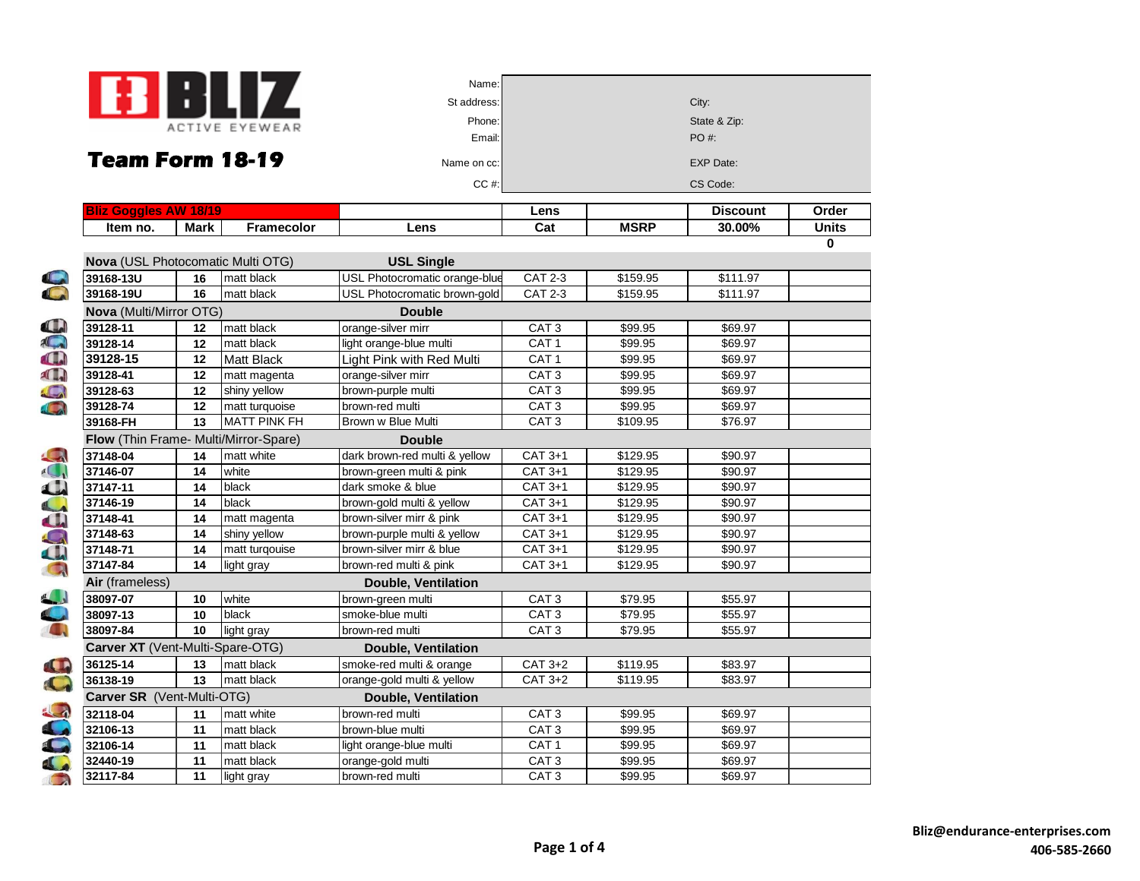

| Name:       |                  |
|-------------|------------------|
| St address: | City:            |
| Phone:      | State & Zip:     |
| Email:      | PO#:             |
| Name on cc: | <b>EXP Date:</b> |
| CC#         | CS Code:         |
|             |                  |

| <b>Bliz Goggles AW 18/19</b>                             |      |                     |                               | Lens             |             | <b>Discount</b> | Order        |
|----------------------------------------------------------|------|---------------------|-------------------------------|------------------|-------------|-----------------|--------------|
| Item no.                                                 | Mark | <b>Framecolor</b>   | Lens                          | Cat              | <b>MSRP</b> | 30.00%          | <b>Units</b> |
|                                                          |      |                     |                               |                  |             |                 | 0            |
| <b>Nova</b> (USL Photocomatic Multi OTG)                 |      |                     | <b>USL Single</b>             |                  |             |                 |              |
| 39168-13U                                                | 16   | matt black          | USL Photocromatic orange-blue | <b>CAT 2-3</b>   | \$159.95    | \$111.97        |              |
| 39168-19U                                                | 16   | matt black          | USL Photocromatic brown-gold  | <b>CAT 2-3</b>   | \$159.95    | \$111.97        |              |
| Nova (Multi/Mirror OTG)                                  |      |                     | <b>Double</b>                 |                  |             |                 |              |
| 39128-11                                                 | 12   | matt black          | orange-silver mirr            | CAT <sub>3</sub> | \$99.95     | \$69.97         |              |
| 39128-14                                                 | 12   | matt black          | light orange-blue multi       | CAT <sub>1</sub> | \$99.95     | \$69.97         |              |
| 39128-15                                                 | 12   | <b>Matt Black</b>   | Light Pink with Red Multi     | CAT <sub>1</sub> | \$99.95     | \$69.97         |              |
| 39128-41                                                 | 12   | matt magenta        | orange-silver mirr            | CAT <sub>3</sub> | \$99.95     | \$69.97         |              |
| 39128-63                                                 | 12   | shiny yellow        | brown-purple multi            | CAT <sub>3</sub> | \$99.95     | \$69.97         |              |
| 39128-74                                                 | 12   | matt turquoise      | brown-red multi               | CAT <sub>3</sub> | \$99.95     | \$69.97         |              |
| 39168-FH                                                 | 13   | <b>MATT PINK FH</b> | Brown w Blue Multi            | CAT <sub>3</sub> | \$109.95    | \$76.97         |              |
| Flow (Thin Frame- Multi/Mirror-Spare)                    |      |                     | <b>Double</b>                 |                  |             |                 |              |
| 37148-04                                                 | 14   | matt white          | dark brown-red multi & yellow | $CAT 3+1$        | \$129.95    | \$90.97         |              |
| 37146-07                                                 | 14   | white               | brown-green multi & pink      | CAT 3+1          | \$129.95    | \$90.97         |              |
| 37147-11                                                 | 14   | black               | dark smoke & blue             | CAT 3+1          | \$129.95    | \$90.97         |              |
| 37146-19                                                 | 14   | black               | brown-gold multi & yellow     | CAT 3+1          | \$129.95    | \$90.97         |              |
| 37148-41                                                 | 14   | matt magenta        | brown-silver mirr & pink      | $CAT 3+1$        | \$129.95    | \$90.97         |              |
| 37148-63                                                 | 14   | shiny yellow        | brown-purple multi & yellow   | $CAT 3+1$        | \$129.95    | \$90.97         |              |
| 37148-71                                                 | 14   | matt turqouise      | brown-silver mirr & blue      | $CAT 3+1$        | \$129.95    | \$90.97         |              |
| 37147-84                                                 | 14   | light gray          | brown-red multi & pink        | CAT 3+1          | \$129.95    | \$90.97         |              |
| Air (frameless)                                          |      |                     | <b>Double, Ventilation</b>    |                  |             |                 |              |
| 38097-07                                                 | 10   | white               | brown-green multi             | CAT <sub>3</sub> | \$79.95     | \$55.97         |              |
| 38097-13                                                 | 10   | black               | smoke-blue multi              | CAT <sub>3</sub> | \$79.95     | \$55.97         |              |
| 38097-84                                                 | 10   | light gray          | brown-red multi               | CAT <sub>3</sub> | \$79.95     | \$55.97         |              |
| Carver XT (Vent-Multi-Spare-OTG)                         |      |                     | <b>Double, Ventilation</b>    |                  |             |                 |              |
| 36125-14                                                 | 13   | matt black          | smoke-red multi & orange      | $CAT 3+2$        | \$119.95    | \$83.97         |              |
| 36138-19                                                 | 13   | matt black          | orange-gold multi & yellow    | $CAT 3+2$        | \$119.95    | \$83.97         |              |
| Carver SR (Vent-Multi-OTG)<br><b>Double, Ventilation</b> |      |                     |                               |                  |             |                 |              |
| 32118-04                                                 | 11   | matt white          | brown-red multi               | CAT <sub>3</sub> | \$99.95     | \$69.97         |              |
| 32106-13                                                 | 11   | matt black          | brown-blue multi              | CAT <sub>3</sub> | \$99.95     | \$69.97         |              |
| 32106-14                                                 | 11   | matt black          | light orange-blue multi       | CAT <sub>1</sub> | \$99.95     | \$69.97         |              |
| 32440-19                                                 | 11   | matt black          | orange-gold multi             | CAT <sub>3</sub> | \$99.95     | \$69.97         |              |
| 32117-84                                                 | 11   | light gray          | brown-red multi               | CAT <sub>3</sub> | \$99.95     | \$69.97         |              |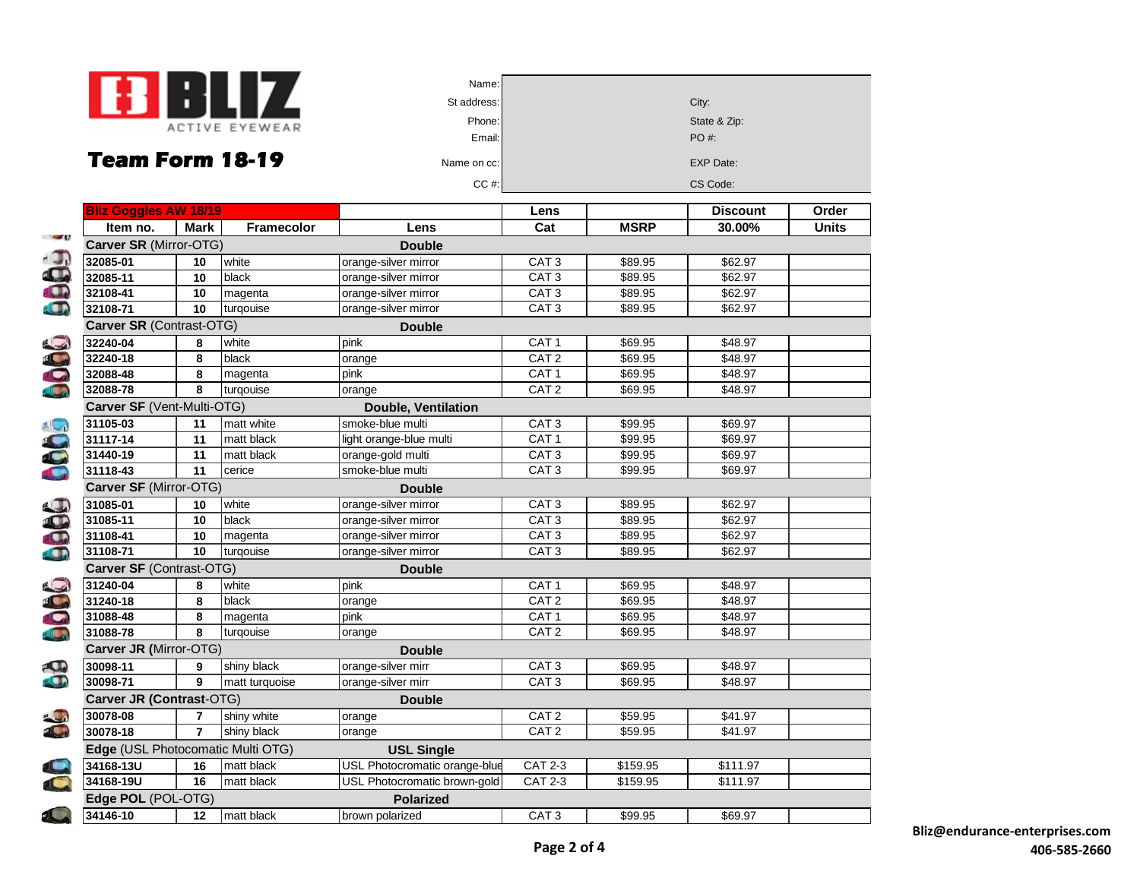

| Name:       |                  |
|-------------|------------------|
| St address: | City:            |
| Phone:      | State & Zip:     |
| Email:      | PO #:            |
| Name on cc: | <b>EXP Date:</b> |
| CC#         | CS Code:         |
|             |                  |

| <b>Bliz Goggles AW 18/19</b>                           |                |                   |                               | Lens             |             | <b>Discount</b> | Order        |
|--------------------------------------------------------|----------------|-------------------|-------------------------------|------------------|-------------|-----------------|--------------|
| Item no.<br>$\sim$ $\sim$ $\sim$                       | Mark           | <b>Framecolor</b> | Lens                          | Cat              | <b>MSRP</b> | 30.00%          | <b>Units</b> |
| Carver SR (Mirror-OTG)                                 |                |                   | <b>Double</b>                 |                  |             |                 |              |
| $\overline{1}$<br>32085-01<br>$\mathbf{\Omega}$        | 10             | white             | orange-silver mirror          | CAT <sub>3</sub> | \$89.95     | \$62.97         |              |
| 32085-11                                               | 10             | black             | orange-silver mirror          | CAT <sub>3</sub> | \$89.95     | \$62.97         |              |
| 32108-41                                               | 10             | magenta           | orange-silver mirror          | CAT <sub>3</sub> | \$89.95     | \$62.97         |              |
| 32108-71                                               | 10             | turqouise         | orange-silver mirror          | CAT <sub>3</sub> | \$89.95     | \$62.97         |              |
| Carver SR (Contrast-OTG)                               |                |                   | <b>Double</b>                 |                  |             |                 |              |
| 32240-04                                               | 8              | white             | pink                          | CAT <sub>1</sub> | \$69.95     | \$48.97         |              |
| 32240-18                                               | 8              | black             | orange                        | CAT <sub>2</sub> | \$69.95     | \$48.97         |              |
| 32088-48                                               | 8              | magenta           | pink                          | CAT <sub>1</sub> | \$69.95     | \$48.97         |              |
| 32088-78                                               | 8              | turgouise         | orange                        | CAT <sub>2</sub> | \$69.95     | \$48.97         |              |
| Carver SF (Vent-Multi-OTG)                             |                |                   | <b>Double, Ventilation</b>    |                  |             |                 |              |
| 31105-03                                               | 11             | matt white        | smoke-blue multi              | CAT <sub>3</sub> | \$99.95     | \$69.97         |              |
| 31117-14                                               | 11             | matt black        | light orange-blue multi       | CAT <sub>1</sub> | \$99.95     | \$69.97         |              |
| 31440-19                                               | 11             | matt black        | orange-gold multi             | CAT <sub>3</sub> | \$99.95     | \$69.97         |              |
| 31118-43                                               | 11             | cerice            | smoke-blue multi              | CAT <sub>3</sub> | \$99.95     | \$69.97         |              |
| Carver SF (Mirror-OTG)                                 |                |                   | <b>Double</b>                 |                  |             |                 |              |
| 31085-01                                               | 10             | white             | orange-silver mirror          | CAT <sub>3</sub> | \$89.95     | \$62.97         |              |
| 31085-11                                               | 10             | black             | orange-silver mirror          | CAT <sub>3</sub> | \$89.95     | \$62.97         |              |
| 31108-41                                               | 10             | magenta           | orange-silver mirror          | CAT <sub>3</sub> | \$89.95     | \$62.97         |              |
| 31108-71                                               | 10             | turgouise         | orange-silver mirror          | CAT <sub>3</sub> | \$89.95     | \$62.97         |              |
| Carver SF (Contrast-OTG)                               |                |                   | <b>Double</b>                 |                  |             |                 |              |
| 31240-04                                               | 8              | white             | pink                          | CAT <sub>1</sub> | \$69.95     | \$48.97         |              |
| 31240-18                                               | 8              | black             | orange                        | CAT <sub>2</sub> | \$69.95     | \$48.97         |              |
| 31088-48                                               | 8              | magenta           | pink                          | CAT <sub>1</sub> | \$69.95     | \$48.97         |              |
| 31088-78                                               | 8              | turgouise         | orange                        | CAT <sub>2</sub> | \$69.95     | \$48.97         |              |
| Carver JR (Mirror-OTG)                                 |                |                   | <b>Double</b>                 |                  |             |                 |              |
| 30098-11                                               | 9              | shiny black       | orange-silver mirr            | CAT <sub>3</sub> | \$69.95     | \$48.97         |              |
| 30098-71                                               | 9              | matt turquoise    | orange-silver mirr            | CAT <sub>3</sub> | \$69.95     | \$48.97         |              |
| Carver JR (Contrast-OTG)                               |                |                   | <b>Double</b>                 |                  |             |                 |              |
| 30078-08                                               | $\overline{7}$ | shiny white       | orange                        | CAT <sub>2</sub> | \$59.95     | \$41.97         |              |
| 30078-18                                               | $\overline{7}$ | shiny black       | orange                        | CAT <sub>2</sub> | \$59.95     | \$41.97         |              |
| Edge (USL Photocomatic Multi OTG)<br><b>USL Single</b> |                |                   |                               |                  |             |                 |              |
| 34168-13U                                              | 16             | matt black        | USL Photocromatic orange-blue | <b>CAT 2-3</b>   | \$159.95    | \$111.97        |              |
| 34168-19U                                              | 16             | matt black        | USL Photocromatic brown-gold  | <b>CAT 2-3</b>   | \$159.95    | \$111.97        |              |
| Edge POL (POL-OTG)                                     |                |                   | <b>Polarized</b>              |                  |             |                 |              |
| 10<br>34146-10                                         | 12             | matt black        | brown polarized               | CAT <sub>3</sub> | \$99.95     | \$69.97         |              |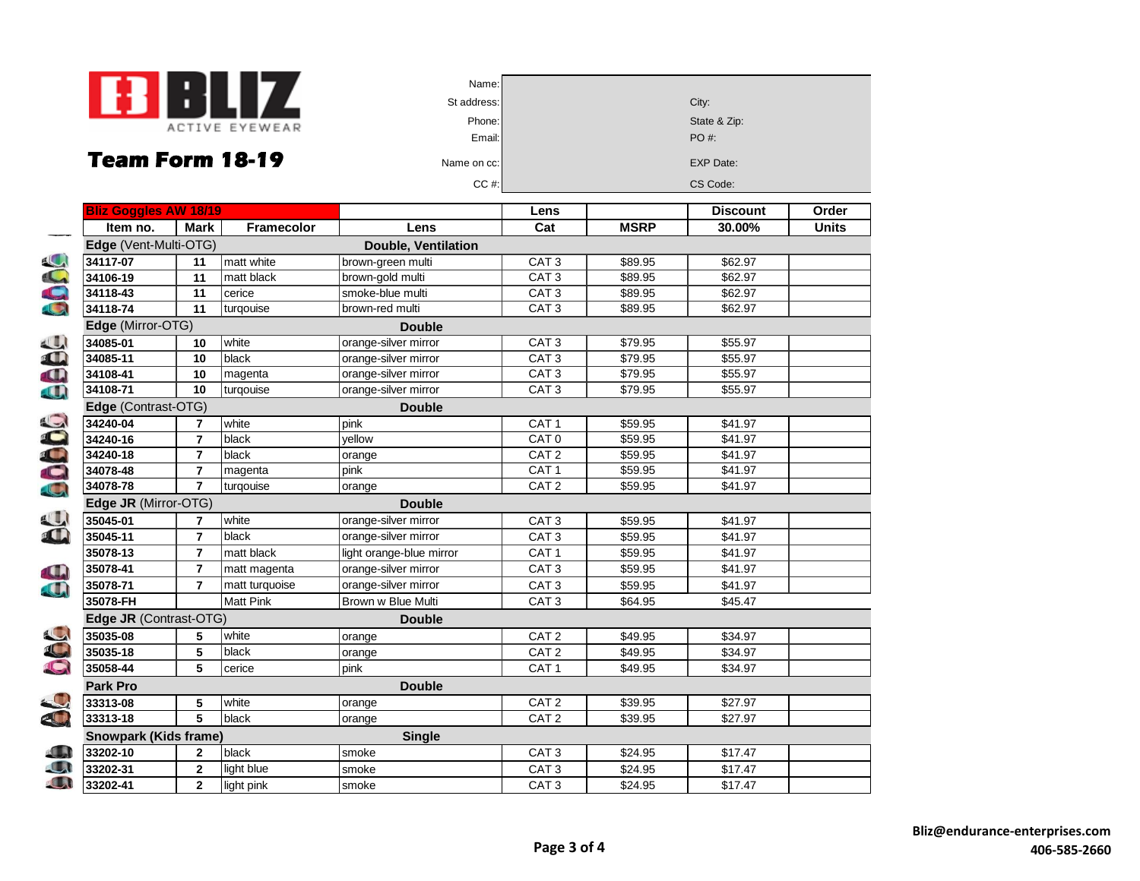

| Name:       |                  |
|-------------|------------------|
| St address: | City:            |
| Phone:      | State & Zip:     |
| Email:      | PO#:             |
| Name on cc: | <b>EXP Date:</b> |
| $CC$ #:     | CS Code:         |
|             |                  |

|                | <b>Bliz Goggles AW 18/19</b>          |                                    |                   |                          | Lens               |             | <b>Discount</b>     | Order        |  |
|----------------|---------------------------------------|------------------------------------|-------------------|--------------------------|--------------------|-------------|---------------------|--------------|--|
|                | Item no.                              | <b>Mark</b>                        | <b>Framecolor</b> | Lens                     | Cat                | <b>MSRP</b> | 30.00%              | <b>Units</b> |  |
|                | Edge (Vent-Multi-OTG)                 |                                    |                   | Double, Ventilation      |                    |             |                     |              |  |
|                | 34117-07                              | 11                                 | matt white        | brown-green multi        | CAT <sub>3</sub>   | \$89.95     | \$62.97             |              |  |
|                | 34106-19                              | 11                                 | matt black        | brown-gold multi         | CAT <sub>3</sub>   | \$89.95     | \$62.97             |              |  |
|                | $34118 - 43$                          | 11                                 | cerice            | smoke-blue multi         | $\overline{CAT 3}$ | \$89.95     | \$62.97             |              |  |
| <b>OOC</b>     | 34118-74                              | 11                                 | turgouise         | brown-red multi          | CAT <sub>3</sub>   | \$89.95     | \$62.97             |              |  |
|                |                                       | Edge (Mirror-OTG)<br><b>Double</b> |                   |                          |                    |             |                     |              |  |
| 38             | 34085-01                              | 10                                 | white             | orange-silver mirror     | CAT <sub>3</sub>   | \$79.95     | \$55.97             |              |  |
|                | 34085-11                              | 10                                 | <b>black</b>      | orange-silver mirror     | CAT <sub>3</sub>   | \$79.95     | \$55.97             |              |  |
|                | 34108-41                              | 10                                 | magenta           | orange-silver mirror     | CAT <sub>3</sub>   | \$79.95     | \$55.97             |              |  |
|                | 34108-71                              | 10                                 | turgouise         | orange-silver mirror     | CAT <sub>3</sub>   | \$79.95     | \$55.97             |              |  |
|                | Edge (Contrast-OTG)                   |                                    |                   | <b>Double</b>            |                    |             |                     |              |  |
| 60000          | 34240-04                              | 7                                  | white             | pink                     | CAT <sub>1</sub>   | \$59.95     | \$41.97             |              |  |
|                | 34240-16                              | $\overline{7}$                     | black             | yellow                   | CAT <sub>0</sub>   | \$59.95     | \$41.97             |              |  |
|                | 34240-18                              | $\overline{7}$                     | black             | orange                   | CAT <sub>2</sub>   | \$59.95     | \$41.97             |              |  |
|                | 34078-48                              | $\overline{7}$                     | magenta           | pink                     | CAT <sub>1</sub>   | \$59.95     | \$41.97             |              |  |
|                | 34078-78                              | $\overline{7}$                     | turqouise         | orange                   | CAT <sub>2</sub>   | \$59.95     | \$41.97             |              |  |
|                | Edge JR (Mirror-OTG)<br><b>Double</b> |                                    |                   |                          |                    |             |                     |              |  |
|                | 35045-01                              | 7                                  | white             | orange-silver mirror     | CAT <sub>3</sub>   | \$59.95     | \$41.97             |              |  |
|                | 35045-11                              | $\overline{7}$                     | black             | orange-silver mirror     | CAT <sub>3</sub>   | \$59.95     | \$41.97             |              |  |
|                | 35078-13                              | $\overline{7}$                     | matt black        | light orange-blue mirror | CAT <sub>1</sub>   | \$59.95     | \$41.97             |              |  |
|                | 35078-41                              | $\overline{7}$                     | matt magenta      | orange-silver mirror     | CAT <sub>3</sub>   | \$59.95     | \$41.97             |              |  |
|                | 35078-71                              | $\overline{7}$                     | matt turquoise    | orange-silver mirror     | CAT <sub>3</sub>   | \$59.95     | \$41.97             |              |  |
|                | 35078-FH                              |                                    | <b>Matt Pink</b>  | Brown w Blue Multi       | CAT <sub>3</sub>   | \$64.95     | \$45.47             |              |  |
|                | Edge JR (Contrast-OTG)                |                                    |                   | <b>Double</b>            |                    |             |                     |              |  |
|                | 35035-08                              | 5                                  | white             | orange                   | CAT <sub>2</sub>   | \$49.95     | \$34.97             |              |  |
|                | 35035-18                              | 5                                  | black             | orange                   | CAT <sub>2</sub>   | \$49.95     | \$34.97             |              |  |
| SC             | 35058-44                              | 5                                  | cerice            | pink                     | CAT <sub>1</sub>   | \$49.95     | \$34.97             |              |  |
|                | Park Pro<br><b>Double</b>             |                                    |                   |                          |                    |             |                     |              |  |
|                | 33313-08                              | 5                                  | white             | orange                   | CAT <sub>2</sub>   | \$39.95     | $\overline{$}27.97$ |              |  |
| $\mathbf{S}$   | 33313-18                              | 5                                  | black             | orange                   | CAT <sub>2</sub>   | \$39.95     | \$27.97             |              |  |
|                | <b>Snowpark (Kids frame)</b>          |                                    |                   | <b>Single</b>            |                    |             |                     |              |  |
| $\blacksquare$ | 33202-10                              | $\mathbf{2}$                       | black             | smoke                    | CAT <sub>3</sub>   | \$24.95     | \$17.47             |              |  |
| $\Box$         | 33202-31                              | $\mathbf{2}$                       | light blue        | smoke                    | CAT <sub>3</sub>   | \$24.95     | \$17.47             |              |  |
| O              | 33202-41                              | $\overline{2}$                     | light pink        | smoke                    | CAT <sub>3</sub>   | \$24.95     | \$17.47             |              |  |